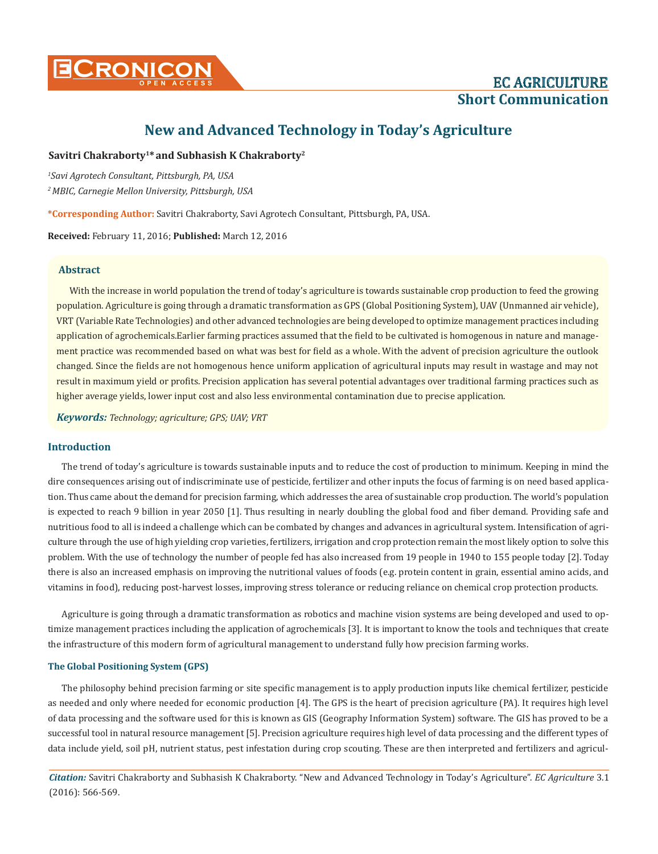

# **New and Advanced Technology in Today's Agriculture**

# Savitri Chakraborty<sup>1\*</sup> and Subhasish K Chakraborty<sup>2</sup>

*1 Savi Agrotech Consultant, Pittsburgh, PA, USA 2 MBIC, Carnegie Mellon University, Pittsburgh, USA*

**\*Corresponding Author:** Savitri Chakraborty, Savi Agrotech Consultant, Pittsburgh, PA, USA.

**Received:** February 11, 2016; **Published:** March 12, 2016

## **Abstract**

With the increase in world population the trend of today's agriculture is towards sustainable crop production to feed the growing population. Agriculture is going through a dramatic transformation as GPS (Global Positioning System), UAV (Unmanned air vehicle), VRT (Variable Rate Technologies) and other advanced technologies are being developed to optimize management practices including application of agrochemicals.Earlier farming practices assumed that the field to be cultivated is homogenous in nature and management practice was recommended based on what was best for field as a whole. With the advent of precision agriculture the outlook changed. Since the fields are not homogenous hence uniform application of agricultural inputs may result in wastage and may not result in maximum yield or profits. Precision application has several potential advantages over traditional farming practices such as higher average yields, lower input cost and also less environmental contamination due to precise application.

*Keywords: Technology; agriculture; GPS; UAV; VRT*

## **Introduction**

The trend of today's agriculture is towards sustainable inputs and to reduce the cost of production to minimum. Keeping in mind the dire consequences arising out of indiscriminate use of pesticide, fertilizer and other inputs the focus of farming is on need based application. Thus came about the demand for precision farming, which addresses the area of sustainable crop production. The world's population is expected to reach 9 billion in year 2050 [1]. Thus resulting in nearly doubling the global food and fiber demand. Providing safe and nutritious food to all is indeed a challenge which can be combated by changes and advances in agricultural system. Intensification of agriculture through the use of high yielding crop varieties, fertilizers, irrigation and crop protection remain the most likely option to solve this problem. With the use of technology the number of people fed has also increased from 19 people in 1940 to 155 people today [2]. Today there is also an increased emphasis on improving the nutritional values of foods (e.g. protein content in grain, essential amino acids, and vitamins in food), reducing post-harvest losses, improving stress tolerance or reducing reliance on chemical crop protection products.

Agriculture is going through a dramatic transformation as robotics and machine vision systems are being developed and used to optimize management practices including the application of agrochemicals [3]. It is important to know the tools and techniques that create the infrastructure of this modern form of agricultural management to understand fully how precision farming works.

#### **The Global Positioning System (GPS)**

The philosophy behind precision farming or site specific management is to apply production inputs like chemical fertilizer, pesticide as needed and only where needed for economic production [4]. The GPS is the heart of precision agriculture (PA). It requires high level of data processing and the software used for this is known as GIS (Geography Information System) software. The GIS has proved to be a successful tool in natural resource management [5]. Precision agriculture requires high level of data processing and the different types of data include yield, soil pH, nutrient status, pest infestation during crop scouting. These are then interpreted and fertilizers and agricul-

*Citation:* Savitri Chakraborty and Subhasish K Chakraborty. "New and Advanced Technology in Today's Agriculture". *EC Agriculture* 3.1 (2016): 566-569.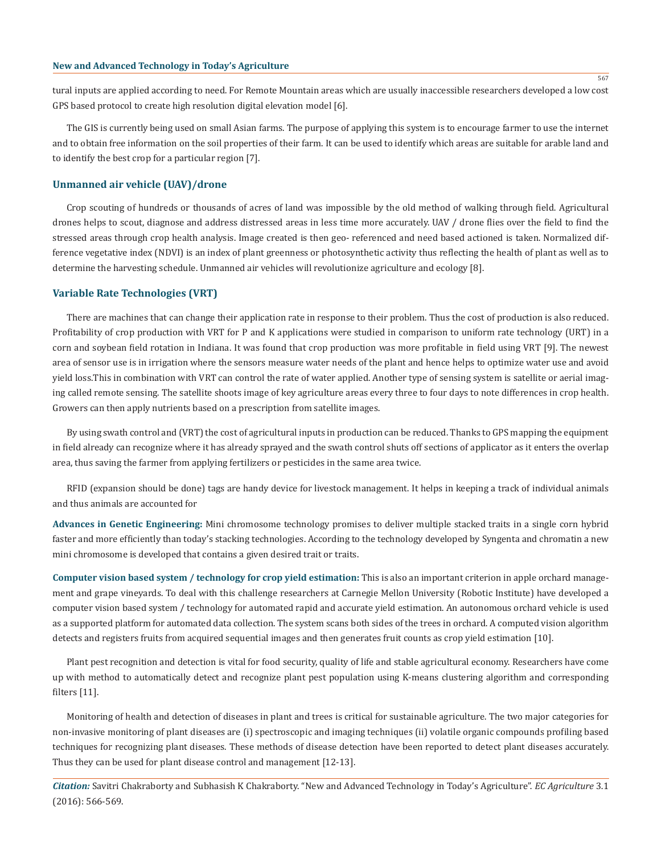tural inputs are applied according to need. For Remote Mountain areas which are usually inaccessible researchers developed a low cost GPS based protocol to create high resolution digital elevation model [6].

The GIS is currently being used on small Asian farms. The purpose of applying this system is to encourage farmer to use the internet and to obtain free information on the soil properties of their farm. It can be used to identify which areas are suitable for arable land and to identify the best crop for a particular region [7].

#### **Unmanned air vehicle (UAV)/drone**

Crop scouting of hundreds or thousands of acres of land was impossible by the old method of walking through field. Agricultural drones helps to scout, diagnose and address distressed areas in less time more accurately. UAV / drone flies over the field to find the stressed areas through crop health analysis. Image created is then geo- referenced and need based actioned is taken. Normalized difference vegetative index (NDVI) is an index of plant greenness or photosynthetic activity thus reflecting the health of plant as well as to determine the harvesting schedule. Unmanned air vehicles will revolutionize agriculture and ecology [8].

#### **Variable Rate Technologies (VRT)**

There are machines that can change their application rate in response to their problem. Thus the cost of production is also reduced. Profitability of crop production with VRT for P and K applications were studied in comparison to uniform rate technology (URT) in a corn and soybean field rotation in Indiana. It was found that crop production was more profitable in field using VRT [9]. The newest area of sensor use is in irrigation where the sensors measure water needs of the plant and hence helps to optimize water use and avoid yield loss.This in combination with VRT can control the rate of water applied. Another type of sensing system is satellite or aerial imaging called remote sensing. The satellite shoots image of key agriculture areas every three to four days to note differences in crop health. Growers can then apply nutrients based on a prescription from satellite images.

By using swath control and (VRT) the cost of agricultural inputs in production can be reduced. Thanks to GPS mapping the equipment in field already can recognize where it has already sprayed and the swath control shuts off sections of applicator as it enters the overlap area, thus saving the farmer from applying fertilizers or pesticides in the same area twice.

RFID (expansion should be done) tags are handy device for livestock management. It helps in keeping a track of individual animals and thus animals are accounted for

**Advances in Genetic Engineering:** Mini chromosome technology promises to deliver multiple stacked traits in a single corn hybrid faster and more efficiently than today's stacking technologies. According to the technology developed by Syngenta and chromatin a new mini chromosome is developed that contains a given desired trait or traits.

**Computer vision based system / technology for crop yield estimation:** This is also an important criterion in apple orchard management and grape vineyards. To deal with this challenge researchers at Carnegie Mellon University (Robotic Institute) have developed a computer vision based system / technology for automated rapid and accurate yield estimation. An autonomous orchard vehicle is used as a supported platform for automated data collection. The system scans both sides of the trees in orchard. A computed vision algorithm detects and registers fruits from acquired sequential images and then generates fruit counts as crop yield estimation [10].

Plant pest recognition and detection is vital for food security, quality of life and stable agricultural economy. Researchers have come up with method to automatically detect and recognize plant pest population using K-means clustering algorithm and corresponding filters [11].

Monitoring of health and detection of diseases in plant and trees is critical for sustainable agriculture. The two major categories for non-invasive monitoring of plant diseases are (i) spectroscopic and imaging techniques (ii) volatile organic compounds profiling based techniques for recognizing plant diseases. These methods of disease detection have been reported to detect plant diseases accurately. Thus they can be used for plant disease control and management [12-13].

*Citation:* Savitri Chakraborty and Subhasish K Chakraborty. "New and Advanced Technology in Today's Agriculture". *EC Agriculture* 3.1 (2016): 566-569.

567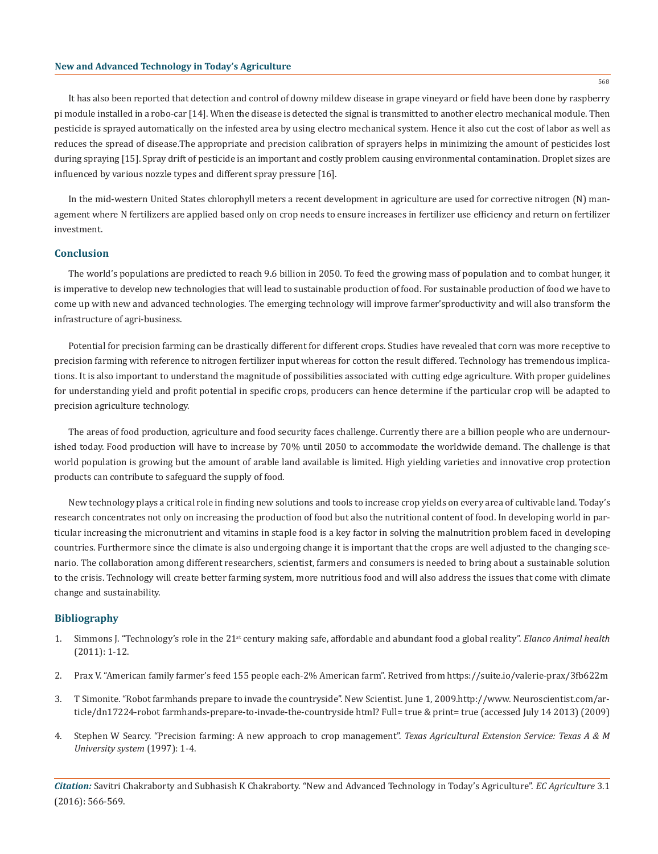It has also been reported that detection and control of downy mildew disease in grape vineyard or field have been done by raspberry pi module installed in a robo-car [14]. When the disease is detected the signal is transmitted to another electro mechanical module. Then pesticide is sprayed automatically on the infested area by using electro mechanical system. Hence it also cut the cost of labor as well as reduces the spread of disease.The appropriate and precision calibration of sprayers helps in minimizing the amount of pesticides lost during spraying [15]. Spray drift of pesticide is an important and costly problem causing environmental contamination. Droplet sizes are influenced by various nozzle types and different spray pressure [16].

In the mid-western United States chlorophyll meters a recent development in agriculture are used for corrective nitrogen (N) management where N fertilizers are applied based only on crop needs to ensure increases in fertilizer use efficiency and return on fertilizer investment.

#### **Conclusion**

The world's populations are predicted to reach 9.6 billion in 2050. To feed the growing mass of population and to combat hunger, it is imperative to develop new technologies that will lead to sustainable production of food. For sustainable production of food we have to come up with new and advanced technologies. The emerging technology will improve farmer'sproductivity and will also transform the infrastructure of agri-business.

Potential for precision farming can be drastically different for different crops. Studies have revealed that corn was more receptive to precision farming with reference to nitrogen fertilizer input whereas for cotton the result differed. Technology has tremendous implications. It is also important to understand the magnitude of possibilities associated with cutting edge agriculture. With proper guidelines for understanding yield and profit potential in specific crops, producers can hence determine if the particular crop will be adapted to precision agriculture technology.

The areas of food production, agriculture and food security faces challenge. Currently there are a billion people who are undernourished today. Food production will have to increase by 70% until 2050 to accommodate the worldwide demand. The challenge is that world population is growing but the amount of arable land available is limited. High yielding varieties and innovative crop protection products can contribute to safeguard the supply of food.

New technology plays a critical role in finding new solutions and tools to increase crop yields on every area of cultivable land. Today's research concentrates not only on increasing the production of food but also the nutritional content of food. In developing world in particular increasing the micronutrient and vitamins in staple food is a key factor in solving the malnutrition problem faced in developing countries. Furthermore since the climate is also undergoing change it is important that the crops are well adjusted to the changing scenario. The collaboration among different researchers, scientist, farmers and consumers is needed to bring about a sustainable solution to the crisis. Technology will create better farming system, more nutritious food and will also address the issues that come with climate change and sustainability.

#### **Bibliography**

- 1. Simmons J. "Technology's role in the 21st century making safe, affordable and abundant food a global reality". *Elanco Animal health*  (2011): 1-12.
- 2. Prax V. "American family farmer's feed 155 people each-2% American farm". Retrived from https://suite.io/valerie-prax/3fb622m
- 3. T Simonite. "Robot farmhands prepare to invade the countryside". New Scientist. June 1, 2009.http://www. Neuroscientist.com/article/dn17224-robot farmhands-prepare-to-invade-the-countryside html? Full= true & print= true (accessed July 14 2013) (2009)
- 4. Stephen W Searcy. "Precision farming: A new approach to crop management". *Texas Agricultural Extension Service: Texas A & M University system* (1997): 1-4.

*Citation:* Savitri Chakraborty and Subhasish K Chakraborty. "New and Advanced Technology in Today's Agriculture". *EC Agriculture* 3.1 (2016): 566-569.